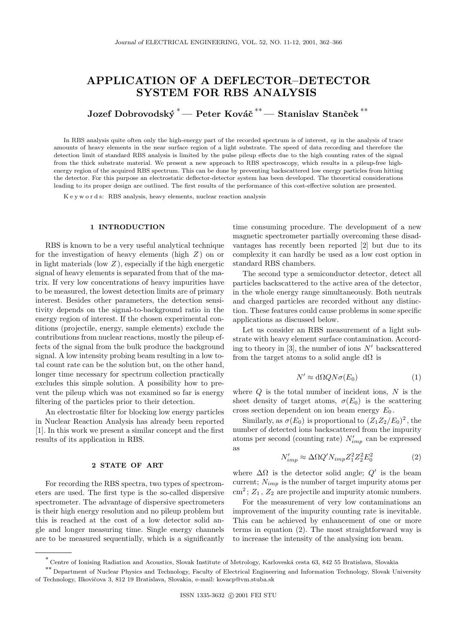# **APPLICATION OF A DEFLECTOR–DETECTOR SYSTEM FOR RBS ANALYSIS**

**Jozef Dobrovodský <sup>\*</sup>— Peter Kováč <sup>\*\*</sup>— Stanislav Stanček <sup>\*\*</sup>** 

In RBS analysis quite often only the high-energy part of the recorded spectrum is of interest, *eg* in the analysis of trace amounts of heavy elements in the near surface region of a light substrate. The speed of data recording and therefore the detection limit of standard RBS analysis is limited by the pulse pileup effects due to the high counting rates of the signal from the thick substrate material. We present a new approach to RBS spectroscopy, which results in a pileup-free highenergy region of the acquired RBS spectrum. This can be done by preventing backscattered low energy particles from hitting the detector. For this purpose an electrostatic deflector-detector system has been developed. The theoretical considerations leading to its proper design are outlined. The first results of the performance of this cost-effective solution are presented.

K e y w o r d s: RBS analysis, heavy elements, nuclear reaction analysis

#### **1 INTRODUCTION**

RBS is known to be a very useful analytical technique for the investigation of heavy elements (high  $Z$ ) on or in light materials (low  $Z$ ), especially if the high energetic signal of heavy elements is separated from that of the matrix. If very low concentrations of heavy impurities have to be measured, the lowest detection limits are of primary interest. Besides other parameters, the detection sensitivity depends on the signal-to-background ratio in the energy region of interest. If the chosen experimental conditions (projectile, energy, sample elements) exclude the contributions from nuclear reactions, mostly the pileup effects of the signal from the bulk produce the background signal. A low intensity probing beam resulting in a low total count rate can be the solution but, on the other hand, longer time necessary for spectrum collection practically excludes this simple solution. A possibility how to prevent the pileup which was not examined so far is energy filtering of the particles prior to their detection.

An electrostatic filter for blocking low energy particles in Nuclear Reaction Analysis has already been reported [1]. In this work we present a similar concept and the first results of its application in RBS.

### **2 STATE OF ART**

For recording the RBS spectra, two types of spectrometers are used. The first type is the so-called dispersive spectrometer. The advantage of dispersive spectrometers is their high energy resolution and no pileup problem but this is reached at the cost of a low detector solid angle and longer measuring time. Single energy channels are to be measured sequentially, which is a significantly time consuming procedure. The development of a new magnetic spectrometer partially overcoming these disadvantages has recently been reported [2] but due to its complexity it can hardly be used as a low cost option in standard RBS chambers.

The second type a semiconductor detector, detect all particles backscattered to the active area of the detector, in the whole energy range simultaneously. Both neutrals and charged particles are recorded without any distinction. These features could cause problems in some specific applications as discussed below.

Let us consider an RBS measurement of a light substrate with heavy element surface contamination. According to theory in [3], the number of ions  $N'$  backscattered from the target atoms to a solid angle  $d\Omega$  is

$$
N' \approx d\Omega Q N \sigma(E_0) \tag{1}
$$

where  $Q$  is the total number of incident ions,  $N$  is the sheet density of target atoms,  $\sigma(E_0)$  is the scattering cross section dependent on ion beam energy  $E_0$ .

Similarly, as  $\sigma(E_0)$  is proportional to  $(Z_1Z_2/E_0)^2$ , the number of detected ions backscattered from the impurity atoms per second (counting rate) N *imp* can be expressed as

$$
N'_{imp} \approx \Delta \Omega Q' N_{imp} Z_1^2 Z_2^2 E_0^2 \tag{2}
$$

where  $\Delta\Omega$  is the detector solid angle; Q' is the beam current; N*imp* is the number of target impurity atoms per  $\text{cm}^2$ ;  $Z_1$ ,  $Z_2$  are projectile and impurity atomic numbers.

For the measurement of very low contaminations an improvement of the impurity counting rate is inevitable. This can be achieved by enhancement of one or more terms in equation (2). The most straightforward way is to increase the intensity of the analysing ion beam.

<sup>∗</sup> Centre of Ionising Radiation and Acoustics, Slovak Institute of Metrology, Karlovesk´a cesta 63, 842 55 Bratislava, Slovakia

<sup>∗∗</sup> Department of Nuclear Physics and Technology, Faculty of Electrical Engineering and Information Technology, Slovak University of Technology, Ilkovičova 3, 812 19 Bratislava, Slovakia, e-mail: kovacp@vm.stuba.sk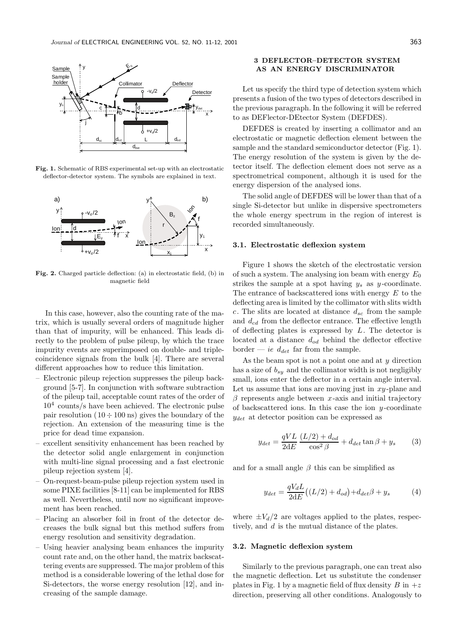

**Fig. 1.** Schematic of RBS experimental set-up with an electrostatic deflector-detector system. The symbols are explained in text.



**Fig. 2.** Charged particle deflection: (a) in electrostatic field, (b) in magnetic field

In this case, however, also the counting rate of the matrix, which is usually several orders of magnitude higher than that of impurity, will be enhanced. This leads directly to the problem of pulse pileup, by which the trace impurity events are superimposed on double- and triplecoincidence signals from the bulk [4]. There are several different approaches how to reduce this limitation.

- Electronic pileup rejection suppresses the pileup background [5-7]. In conjunction with software subtraction of the pileup tail, acceptable count rates of the order of  $10<sup>4</sup>$  counts/s have been achieved. The electronic pulse pair resolution  $(10 \div 100 \text{ ns})$  gives the boundary of the rejection. An extension of the measuring time is the price for dead time expansion.
- excellent sensitivity enhancement has been reached by the detector solid angle enlargement in conjunction with multi-line signal processing and a fast electronic pileup rejection system [4].
- On-request-beam-pulse pileup rejection system used in some PIXE facilities [8-11] can be implemented for RBS as well. Nevertheless, until now no significant improvement has been reached.
- Placing an absorber foil in front of the detector decreases the bulk signal but this method suffers from energy resolution and sensitivity degradation.
- Using heavier analysing beam enhances the impurity count rate and, on the other hand, the matrix backscattering events are suppressed. The major problem of this method is a considerable lowering of the lethal dose for Si-detectors, the worse energy resolution [12], and increasing of the sample damage.

# **3 DEFLECTOR–DETECTOR SYSTEM AS AN ENERGY DISCRIMINATOR**

Let us specify the third type of detection system which presents a fusion of the two types of detectors described in the previous paragraph. In the following it will be referred to as DEFlector-DEtector System (DEFDES).

DEFDES is created by inserting a collimator and an electrostatic or magnetic deflection element between the sample and the standard semiconductor detector (Fig. 1). The energy resolution of the system is given by the detector itself. The deflection element does not serve as a spectrometrical component, although it is used for the energy dispersion of the analysed ions.

The solid angle of DEFDES will be lower than that of a single Si-detector but unlike in dispersive spectrometers the whole energy spectrum in the region of interest is recorded simultaneously.

#### **3.1. Electrostatic deflexion system**

Figure 1 shows the sketch of the electrostatic version of such a system. The analysing ion beam with energy  $E_0$ strikes the sample at a spot having  $y_s$  as y-coordinate. The entrance of backscattered ions with energy  $E$  to the deflecting area is limited by the collimator with slits width c. The slits are located at distance d*sc* from the sample and d*cd* from the deflector entrance. The effective length of deflecting plates is expressed by  $L$ . The detector is located at a distance d*od* behind the deflector effective border — *ie*  $d_{det}$  far from the sample.

As the beam spot is not a point one and at  $y$  direction has a size of b*sy* and the collimator width is not negligibly small, ions enter the deflector in a certain angle interval. Let us assume that ions are moving just in  $xy$ -plane and  $\beta$  represents angle between x-axis and initial trajectory of backscattered ions. In this case the ion  $y$ -coordinate y*det* at detector position can be expressed as

$$
y_{det} = \frac{qVL}{2dE} \frac{(L/2) + d_{od}}{\cos^2 \beta} + d_{det} \tan \beta + y_s \tag{3}
$$

and for a small angle  $\beta$  this can be simplified as

$$
y_{det} = \frac{qV_d L}{2dE}((L/2) + d_{od}) + d_{det}\beta + y_s
$$
 (4)

where  $\pm V_d/2$  are voltages applied to the plates, respectively, and d is the mutual distance of the plates.

# **3.2. Magnetic deflexion system**

Similarly to the previous paragraph, one can treat also the magnetic deflection. Let us substitute the condenser plates in Fig. 1 by a magnetic field of flux density B in  $+z$ direction, preserving all other conditions. Analogously to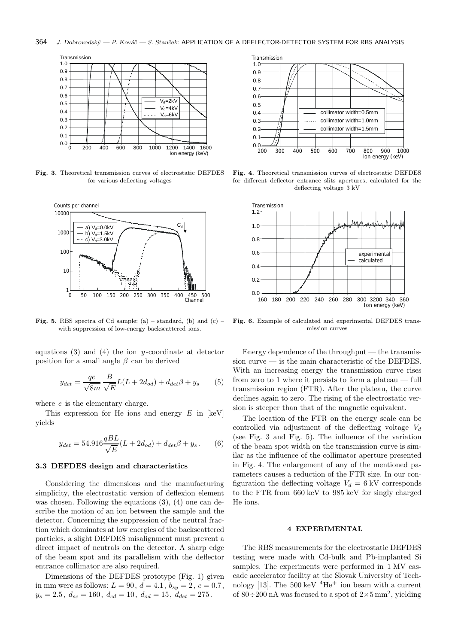#### 364 *J. Dobrovodský — P. Kováč — S. Stanček*: APPLICATION OF A DEFLECTOR-DETECTOR SYSTEM FOR RBS ANALYSIS



**Fig. 3.** Theoretical transmission curves of electrostatic DEFDES for various deflecting voltages



**Fig. 5.** RBS spectra of Cd sample: (a) – standard, (b) and (c) – with suppression of low-energy backscattered ions.

equations  $(3)$  and  $(4)$  the ion y-coordinate at detector position for a small angle  $\beta$  can be derived

$$
y_{det} = \frac{qe}{\sqrt{8m}} \frac{B}{\sqrt{E}} L(L + 2d_{od}) + d_{det}\beta + y_s
$$
 (5)

where  $e$  is the elementary charge.

This expression for He ions and energy  $E$  in [keV] yields

$$
y_{det} = 54.916 \frac{qBL}{\sqrt{E}} (L + 2d_{od}) + d_{det} \beta + y_s. \tag{6}
$$

## **3.3 DEFDES design and characteristics**

Considering the dimensions and the manufacturing simplicity, the electrostatic version of deflexion element was chosen. Following the equations  $(3)$ ,  $(4)$  one can describe the motion of an ion between the sample and the detector. Concerning the suppression of the neutral fraction which dominates at low energies of the backscattered particles, a slight DEFDES misalignment must prevent a direct impact of neutrals on the detector. A sharp edge of the beam spot and its parallelism with the deflector entrance collimator are also required.

Dimensions of the DEFDES prototype (Fig. 1) given in mm were as follows:  $L = 90, d = 4.1, b_{su} = 2, c = 0.7$ ,  $y_s = 2.5, d_{sc} = 160, d_{cd} = 10, d_{od} = 15, d_{det} = 275.$ 



**Fig. 4.** Theoretical transmission curves of electrostatic DEFDES for different deflector entrance slits apertures, calculated for the deflecting voltage 3 kV



**Fig. 6.** Example of calculated and experimental DEFDES transmission curves

Energy dependence of the throughput  $-$  the transmission curve  $-$  is the main characteristic of the DEFDES. With an increasing energy the transmission curve rises from zero to 1 where it persists to form a plateau — full transmission region (FTR). After the plateau, the curve declines again to zero. The rising of the electrostatic version is steeper than that of the magnetic equivalent.

The location of the FTR on the energy scale can be controlled via adjustment of the deflecting voltage V*<sup>d</sup>* (see Fig. 3 and Fig. 5). The influence of the variation of the beam spot width on the transmission curve is similar as the influence of the collimator aperture presented in Fig. 4. The enlargement of any of the mentioned parameters causes a reduction of the FTR size. In our configuration the deflecting voltage  $V_d = 6$  kV corresponds to the FTR from 660 keV to 985 keV for singly charged He ions.

## **4 EXPERIMENTAL**

The RBS measurements for the electrostatic DEFDES testing were made with Cd-bulk and Pb-implanted Si samples. The experiments were performed in 1 MV cascade accelerator facility at the Slovak University of Technology [13]. The 500 keV  $^4 \mathrm{He^+}$  ion beam with a current of 80 $\div$ 200 nA was focused to a spot of  $2\times5$  mm<sup>2</sup>, yielding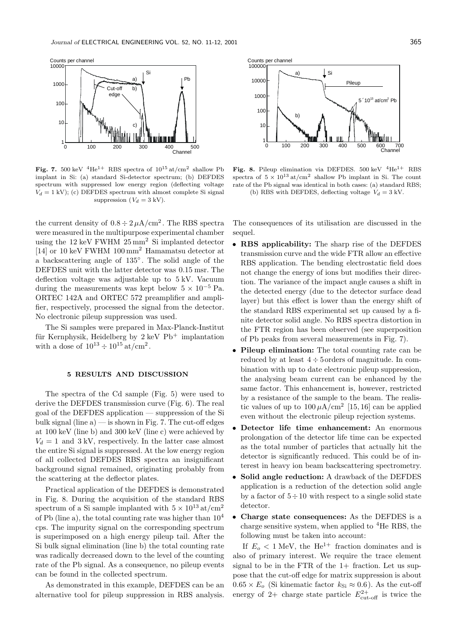

Fig. 7. 500 keV <sup>4</sup>He<sup>1+</sup> RBS spectra of  $10^{15}$  at/cm<sup>2</sup> shallow Pb implant in Si: (a) standard Si-detector spectrum; (b) DEFDES spectrum with suppressed low energy region (deflecting voltage  $V_d = 1$  kV); (c) DEFDES spectrum with almost complete Si signal suppression  $(V_d = 3 \text{ kV})$ .

the current density of  $0.8 \div 2 \mu A/cm^2$ . The RBS spectra were measured in the multipurpose experimental chamber using the  $12 \text{ keV}$  FWHM  $25 \text{ mm}^2$  Si implanted detector [14] or 10 keV FWHM 100 mm<sup>2</sup> Hamamatsu detector at a backscattering angle of 135◦ . The solid angle of the DEFDES unit with the latter detector was 0.15 msr. The deflection voltage was adjustable up to 5 kV. Vacuum during the measurements was kept below  $5 \times 10^{-5}$  Pa. ORTEC 142A and ORTEC 572 preamplifier and amplifier, respectively, processed the signal from the detector. No electronic pileup suppression was used.

The Si samples were prepared in Max-Planck-Institut für Kernphysik, Heidelberg by  $2 \text{ keV}$  Pb<sup>+</sup> implantation with a dose of  $10^{13} \div 10^{15} \text{ at/cm}^2$ .

# **5 RESULTS AND DISCUSSION**

The spectra of the Cd sample (Fig. 5) were used to derive the DEFDES transmission curve (Fig. 6). The real goal of the DEFDES application — suppression of the Si bulk signal (line  $a$ ) — is shown in Fig. 7. The cut-off edges at 100 keV (line b) and 300 keV (line c) were achieved by  $V_d = 1$  and  $3 \text{ kV}$ , respectively. In the latter case almost the entire Si signal is suppressed. At the low energy region of all collected DEFDES RBS spectra an insignificant background signal remained, originating probably from the scattering at the deflector plates.

Practical application of the DEFDES is demonstrated in Fig. 8. During the acquisition of the standard RBS spectrum of a Si sample implanted with  $5 \times 10^{13}$  at/cm<sup>2</sup> of Pb (line a), the total counting rate was higher than  $10^4$ cps. The impurity signal on the corresponding spectrum is superimposed on a high energy pileup tail. After the Si bulk signal elimination (line b) the total counting rate was radically decreased down to the level of the counting rate of the Pb signal. As a consequence, no pileup events can be found in the collected spectrum.

As demonstrated in this example, DEFDES can be an alternative tool for pileup suppression in RBS analysis.



**Fig. 8.** Pileup elimination via DEFDES. 500 keV  ${}^{4}$ He<sup>1+</sup> RBS spectra of  $5 \times 10^{13}$  at/cm<sup>2</sup> shallow Pb implant in Si. The count rate of the Pb signal was identical in both cases: (a) standard RBS; (b) RBS with DEFDES, deflecting voltage  $V_d = 3$  kV.

The consequences of its utilisation are discussed in the sequel.

- **RBS applicability:** The sharp rise of the DEFDES transmission curve and the wide FTR allow an effective RBS application. The bending electrostatic field does not change the energy of ions but modifies their direction. The variance of the impact angle causes a shift in the detected energy (due to the detector surface dead layer) but this effect is lower than the energy shift of the standard RBS experimental set up caused by a finite detector solid angle. No RBS spectra distortion in the FTR region has been observed (see superposition of Pb peaks from several measurements in Fig. 7).
- **Pileup elimination:** The total counting rate can be reduced by at least  $4 \div 5$  orders of magnitude. In combination with up to date electronic pileup suppression, the analysing beam current can be enhanced by the same factor. This enhancement is, however, restricted by a resistance of the sample to the beam. The realistic values of up to  $100 \mu A/cm^2$  [15, 16] can be applied even without the electronic pileup rejection systems.
- **Detector life time enhancement:** An enormous prolongation of the detector life time can be expected as the total number of particles that actually hit the detector is significantly reduced. This could be of interest in heavy ion beam backscattering spectrometry.
- **Solid angle reduction:** A drawback of the DEFDES application is a reduction of the detection solid angle by a factor of  $5 \div 10$  with respect to a single solid state detector.
- **Charge state consequences:** As the DEFDES is a charge sensitive system, when applied to  ${}^{4}$ He RBS, the following must be taken into account:

If  $E_o < 1$  MeV, the He<sup>1+</sup> fraction dominates and is also of primary interest. We require the trace element signal to be in the FTR of the  $1+$  fraction. Let us suppose that the cut-off edge for matrix suppression is about  $0.65 \times E_o$  (Si kinematic factor  $k_{\text{Si}} \approx 0.6$ ). As the cut-off energy of 2+ charge state particle  $E_{\text{cut-off}}^{2+}$  is twice the